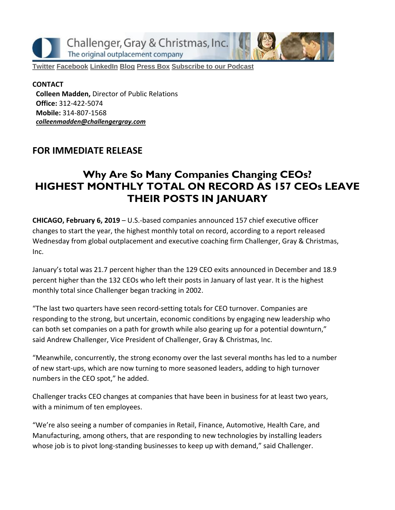Challenger, Gray & Christmas, Inc. The original outplacement company

**[Twitter](https://twitter.com/#!/ChallengerGray) [Facebook](https://www.facebook.com/ChallengerGray) [LinkedIn](http://www.linkedin.com/company/28264?trk=tyah) [Blog](http://www.challengergray.com/press/blog) [Press](http://www.challengergray.com/press/press-releases) Box [Subscribe](https://itunes.apple.com/us/podcast/challenger-podcast-hr-passport/id1155541697?mt=2) to our Podcast**

**CONTACT Colleen Madden,** Director of Public Relations **Office:** 312-422-5074 **Mobile:** 314-807-1568 *[colleenmadden@challengergray.com](mailto:colleenmadden@challengergray.com)*

#### **FOR IMMEDIATE RELEASE**

# **Why Are So Many Companies Changing CEOs? HIGHEST MONTHLY TOTAL ON RECORD AS 157 CEOs LEAVE THEIR POSTS IN JANUARY**

**CHICAGO, February 6, 2019** – U.S.-based companies announced 157 chief executive officer changes to start the year, the highest monthly total on record, according to a report released Wednesday from global outplacement and executive coaching firm Challenger, Gray & Christmas, Inc.

January's total was 21.7 percent higher than the 129 CEO exits announced in December and 18.9 percent higher than the 132 CEOs who left their posts in January of last year. It is the highest monthly total since Challenger began tracking in 2002.

"The last two quarters have seen record-setting totals for CEO turnover. Companies are responding to the strong, but uncertain, economic conditions by engaging new leadership who can both set companies on a path for growth while also gearing up for a potential downturn," said Andrew Challenger, Vice President of Challenger, Gray & Christmas, Inc.

"Meanwhile, concurrently, the strong economy over the last several months has led to a number of new start-ups, which are now turning to more seasoned leaders, adding to high turnover numbers in the CEO spot," he added.

Challenger tracks CEO changes at companies that have been in business for at least two years, with a minimum of ten employees.

"We're also seeing a number of companies in Retail, Finance, Automotive, Health Care, and Manufacturing, among others, that are responding to new technologies by installing leaders whose job is to pivot long-standing businesses to keep up with demand," said Challenger.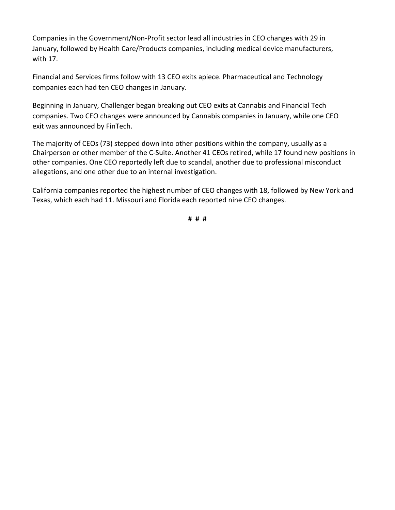Companies in the Government/Non-Profit sector lead all industries in CEO changes with 29 in January, followed by Health Care/Products companies, including medical device manufacturers, with 17.

Financial and Services firms follow with 13 CEO exits apiece. Pharmaceutical and Technology companies each had ten CEO changes in January.

Beginning in January, Challenger began breaking out CEO exits at Cannabis and Financial Tech companies. Two CEO changes were announced by Cannabis companies in January, while one CEO exit was announced by FinTech.

The majority of CEOs (73) stepped down into other positions within the company, usually as a Chairperson or other member of the C-Suite. Another 41 CEOs retired, while 17 found new positions in other companies. One CEO reportedly left due to scandal, another due to professional misconduct allegations, and one other due to an internal investigation.

California companies reported the highest number of CEO changes with 18, followed by New York and Texas, which each had 11. Missouri and Florida each reported nine CEO changes.

**# # #**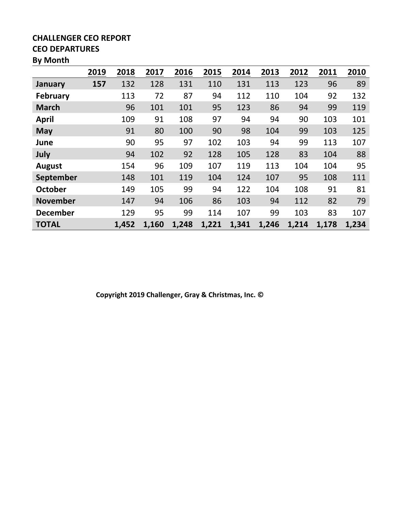#### **CHALLENGER CEO REPORT CEO DEPARTURES**

# **By Month**

|                 | 2019 | 2018  | 2017  | 2016  | 2015  | 2014  | 2013  | 2012  | 2011  | 2010  |
|-----------------|------|-------|-------|-------|-------|-------|-------|-------|-------|-------|
| January         | 157  | 132   | 128   | 131   | 110   | 131   | 113   | 123   | 96    | 89    |
| <b>February</b> |      | 113   | 72    | 87    | 94    | 112   | 110   | 104   | 92    | 132   |
| <b>March</b>    |      | 96    | 101   | 101   | 95    | 123   | 86    | 94    | 99    | 119   |
| <b>April</b>    |      | 109   | 91    | 108   | 97    | 94    | 94    | 90    | 103   | 101   |
| <b>May</b>      |      | 91    | 80    | 100   | 90    | 98    | 104   | 99    | 103   | 125   |
| June            |      | 90    | 95    | 97    | 102   | 103   | 94    | 99    | 113   | 107   |
| July            |      | 94    | 102   | 92    | 128   | 105   | 128   | 83    | 104   | 88    |
| <b>August</b>   |      | 154   | 96    | 109   | 107   | 119   | 113   | 104   | 104   | 95    |
| September       |      | 148   | 101   | 119   | 104   | 124   | 107   | 95    | 108   | 111   |
| <b>October</b>  |      | 149   | 105   | 99    | 94    | 122   | 104   | 108   | 91    | 81    |
| <b>November</b> |      | 147   | 94    | 106   | 86    | 103   | 94    | 112   | 82    | 79    |
| <b>December</b> |      | 129   | 95    | 99    | 114   | 107   | 99    | 103   | 83    | 107   |
| <b>TOTAL</b>    |      | 1,452 | 1,160 | 1,248 | 1,221 | 1,341 | 1,246 | 1,214 | 1,178 | 1,234 |

**Copyright 2019 Challenger, Gray & Christmas, Inc. ©**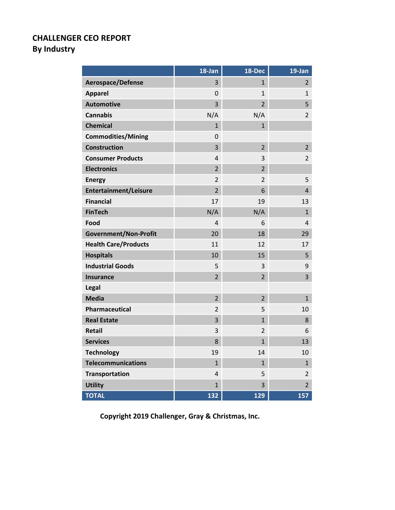# **CHALLENGER CEO REPORT By Industry**

|                              | 18-Jan         | 18-Dec         | 19-Jan         |
|------------------------------|----------------|----------------|----------------|
| Aerospace/Defense            | 3              | $\mathbf{1}$   | $\overline{2}$ |
| <b>Apparel</b>               | 0              | $\mathbf{1}$   | 1              |
| <b>Automotive</b>            | $\overline{3}$ | $\overline{2}$ | 5              |
| <b>Cannabis</b>              | N/A            | N/A            | $\overline{2}$ |
| <b>Chemical</b>              | $\mathbf{1}$   | $\mathbf{1}$   |                |
| <b>Commodities/Mining</b>    | 0              |                |                |
| <b>Construction</b>          | 3              | $\overline{2}$ | $\overline{2}$ |
| <b>Consumer Products</b>     | $\overline{4}$ | 3              | $\overline{2}$ |
| <b>Electronics</b>           | $\overline{2}$ | 2              |                |
| <b>Energy</b>                | $\overline{2}$ | $\overline{2}$ | 5              |
| <b>Entertainment/Leisure</b> | $\overline{2}$ | 6              | $\overline{4}$ |
| <b>Financial</b>             | 17             | 19             | 13             |
| <b>FinTech</b>               | N/A            | N/A            | $\mathbf{1}$   |
| Food                         | 4              | 6              | 4              |
| Government/Non-Profit        | 20             | 18             | 29             |
| <b>Health Care/Products</b>  | 11             | 12             | 17             |
| <b>Hospitals</b>             | 10             | 15             | 5              |
| <b>Industrial Goods</b>      | 5              | 3              | 9              |
| <b>Insurance</b>             | $\overline{2}$ | $\overline{2}$ | 3              |
| <b>Legal</b>                 |                |                |                |
| <b>Media</b>                 | $\overline{2}$ | $\overline{2}$ | $\mathbf{1}$   |
| Pharmaceutical               | $\overline{2}$ | 5              | 10             |
| <b>Real Estate</b>           | 3              | $\mathbf{1}$   | 8              |
| <b>Retail</b>                | 3              | 2              | 6              |
| <b>Services</b>              | 8              | $\mathbf{1}$   | 13             |
| <b>Technology</b>            | 19             | 14             | 10             |
| <b>Telecommunications</b>    | $\mathbf{1}$   | 1              | $\mathbf{1}$   |
| Transportation               | 4              | 5              | $\overline{2}$ |
| <b>Utility</b>               | $\mathbf{1}$   | 3              | $\overline{2}$ |
| <b>TOTAL</b>                 | 132            | 129            | 157            |

**Copyright 2019 Challenger, Gray & Christmas, Inc.**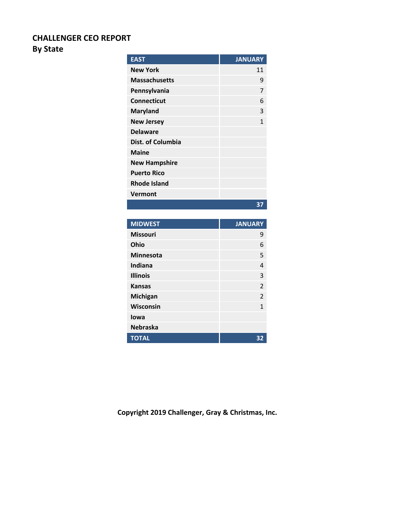## **CHALLENGER CEO REPORT**

### **By State**

| <b>EAST</b>          | <b>JANUARY</b> |
|----------------------|----------------|
| <b>New York</b>      | 11             |
| <b>Massachusetts</b> | 9              |
| Pennsylvania         | 7              |
| <b>Connecticut</b>   | 6              |
| <b>Maryland</b>      | 3              |
| <b>New Jersey</b>    | 1              |
| <b>Delaware</b>      |                |
| Dist. of Columbia    |                |
| <b>Maine</b>         |                |
| <b>New Hampshire</b> |                |
| <b>Puerto Rico</b>   |                |
| <b>Rhode Island</b>  |                |
| Vermont              |                |
|                      | 37             |
|                      |                |
| <b>MIDWEST</b>       | <b>JANUARY</b> |
| <b>Missouri</b>      | 9              |
| Ohio                 | 6              |
| <b>Minnesota</b>     | 5              |
| <b>Indiana</b>       | 4              |
| <b>Illinois</b>      | 3              |
| <b>Kansas</b>        | $\overline{2}$ |
| Michigan             | $\overline{2}$ |
| Wisconsin            | $\mathbf{1}$   |

**Copyright 2019 Challenger, Gray & Christmas, Inc.**

**TOTAL 32**

**Iowa Nebraska**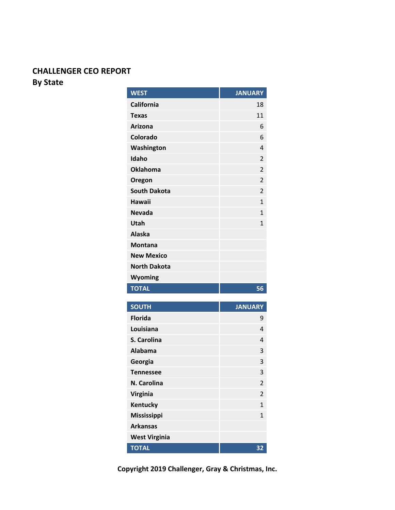## **CHALLENGER CEO REPORT By State**

| <b>WEST</b>                    | <b>JANUARY</b> |
|--------------------------------|----------------|
| <b>California</b>              | 18             |
| Texas                          | 11             |
| <b>Arizona</b>                 | 6              |
| Colorado                       | 6              |
| Washington                     | 4              |
| Idaho                          | $\overline{2}$ |
| <b>Oklahoma</b>                | $\overline{2}$ |
| Oregon                         | 2              |
| <b>South Dakota</b>            | $\overline{2}$ |
| <b>Hawaii</b>                  | $\mathbf{1}$   |
| <b>Nevada</b>                  | $\mathbf{1}$   |
| Utah                           | $\mathbf{1}$   |
| <b>Alaska</b>                  |                |
| <b>Montana</b>                 |                |
| <b>New Mexico</b>              |                |
| <b>North Dakota</b>            |                |
|                                |                |
| Wyoming                        |                |
| <b>TOTAL</b>                   | 56             |
|                                | <b>JANUARY</b> |
| <b>SOUTH</b><br><b>Florida</b> | 9              |
| Louisiana                      | 4              |
| S. Carolina                    | 4              |
| <b>Alabama</b>                 | 3              |
| Georgia                        | 3              |
| <b>Tennessee</b>               | 3              |
| N. Carolina                    | 2              |
| <b>Virginia</b>                | $\overline{2}$ |
| Kentucky                       | $\mathbf{1}$   |
| <b>Mississippi</b>             | $\mathbf{1}$   |
| <b>Arkansas</b>                |                |
| <b>West Virginia</b>           |                |

**Copyright 2019 Challenger, Gray & Christmas, Inc.**